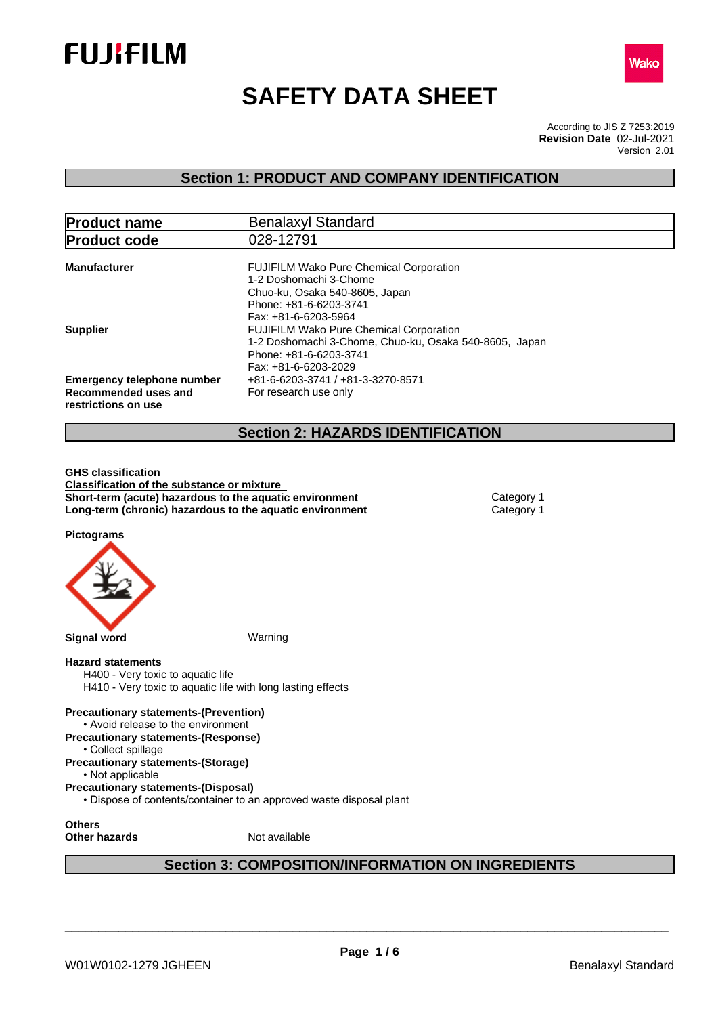



# **SAFETY DATA SHEET**

According to JIS Z 7253:2019 Version 2.01 **Revision Date** 02-Jul-2021

### **Section 1: PRODUCT AND COMPANY IDENTIFICATION**

| <b>Product name</b>                                                              | Benalaxyl Standard                                                                                                                                           |
|----------------------------------------------------------------------------------|--------------------------------------------------------------------------------------------------------------------------------------------------------------|
| <b>Product code</b>                                                              | 028-12791                                                                                                                                                    |
| <b>Manufacturer</b>                                                              | <b>FUJIFILM Wako Pure Chemical Corporation</b><br>1-2 Doshomachi 3-Chome<br>Chuo-ku, Osaka 540-8605, Japan<br>Phone: +81-6-6203-3741<br>Fax: +81-6-6203-5964 |
| <b>Supplier</b>                                                                  | <b>FUJIFILM Wako Pure Chemical Corporation</b><br>1-2 Doshomachi 3-Chome, Chuo-ku, Osaka 540-8605, Japan<br>Phone: +81-6-6203-3741<br>Fax: +81-6-6203-2029   |
| <b>Emergency telephone number</b><br>Recommended uses and<br>restrictions on use | +81-6-6203-3741 / +81-3-3270-8571<br>For research use only                                                                                                   |
|                                                                                  | <b>Section 2: HAZARDS IDENTIFICATION</b>                                                                                                                     |

**GHS classification Classification of the substance or mixture Short-term (acute) hazardous to the aquatic environment** Category 1 **Long-term (chronic) hazardous to the aquatic environment** Category 1

**Pictograms**



#### **Hazard statements**

H400 - Very toxic to aquatic life H410 - Very toxic to aquatic life with long lasting effects

**Precautionary statements-(Prevention)** • Avoid release to the environment **Precautionary statements-(Response)** • Collect spillage

**Precautionary statements-(Storage)**

• Not applicable

**Precautionary statements-(Disposal)**

• Dispose of contents/container to an approved waste disposal plant

**Others**

**Other hazards** Not available

### **Section 3: COMPOSITION/INFORMATION ON INGREDIENTS**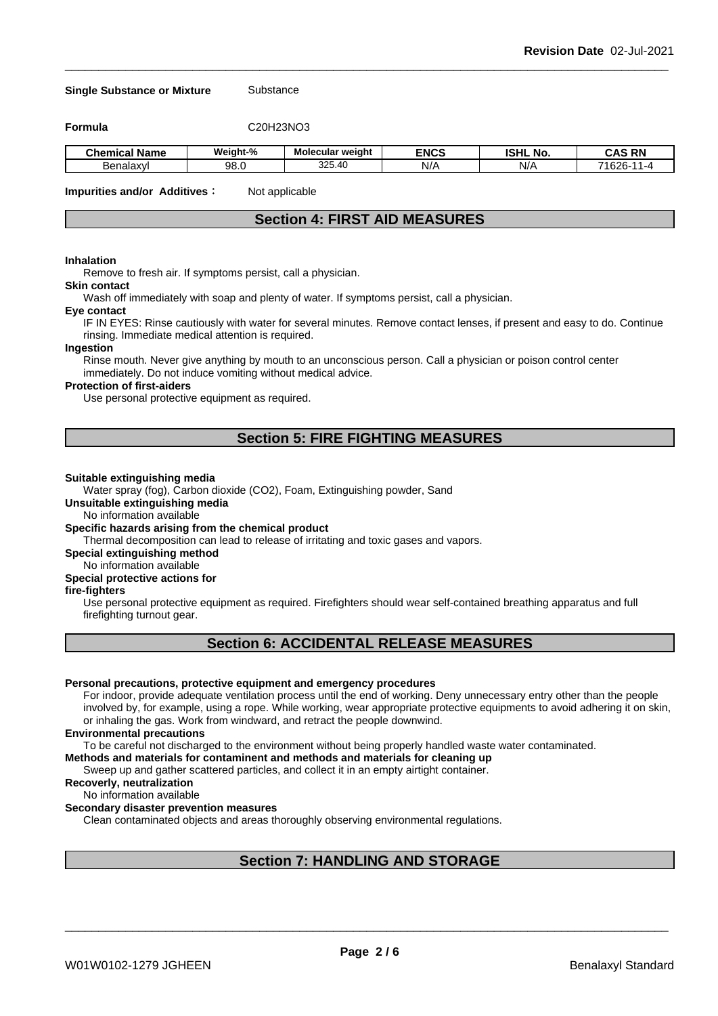#### **Single Substance or Mixture** Substance

**Formula** C20H23NO3

| . .<br>Name<br>Chemical | Weiaht-% | --<br><b>Molecular weight</b>                        | <b>ENCS</b> | <b>ISHL</b><br>. .<br>. No. | <b>RN</b><br>$\ddot{\phantom{1}}$<br>۰Λ۰<br>∼ |
|-------------------------|----------|------------------------------------------------------|-------------|-----------------------------|-----------------------------------------------|
| Benalaxvl               | 98.C     | つつに<br>$\cdot$<br>$\overline{\phantom{a}}$<br>ບ∠ບ.+ບ | N/          | NI/<br>N/                   | 71000<br>.o∠r<br>$\sim$                       |

**Impurities and/or Additives**: Not applicable

### **Section 4: FIRST AID MEASURES**

#### **Inhalation**

Remove to fresh air. If symptoms persist, call a physician.

### **Skin contact**

Wash off immediately with soap and plenty of water. If symptoms persist, calla physician.

#### **Eye contact**

IF IN EYES: Rinse cautiously with water for several minutes. Remove contact lenses, if present and easy to do. Continue rinsing. Immediate medical attention is required.

#### **Ingestion**

Rinse mouth. Never give anything by mouth to an unconscious person. Call a physician or poison control center immediately. Do not induce vomiting without medical advice.

#### **Protection of first-aiders**

Use personal protective equipment as required.

### **Section 5: FIRE FIGHTING MEASURES**

#### **Suitable extinguishing media**

Water spray (fog), Carbon dioxide (CO2), Foam, Extinguishing powder, Sand

**Unsuitable extinguishing media**

No information available

#### **Specific hazards arising from the chemical product**

Thermal decomposition can lead to release of irritating and toxic gases and vapors.

**Special extinguishing method**

#### No information available

#### **Special protective actions for**

#### **fire-fighters**

Use personal protective equipment as required.Firefighters should wear self-contained breathing apparatus and full firefighting turnout gear.

### **Section 6: ACCIDENTAL RELEASE MEASURES**

#### **Personal precautions, protective equipment and emergency procedures**

For indoor, provide adequate ventilation process until the end of working. Deny unnecessary entry other than the people involved by, for example, using a rope. While working, wear appropriate protective equipments to avoid adhering it on skin, or inhaling the gas. Work from windward, and retract the people downwind.

#### **Environmental precautions**

To be careful not discharged to the environment without being properly handled waste water contaminated.

#### **Methods and materials for contaminent and methods and materials for cleaning up**

Sweep up and gather scattered particles, and collect it in an empty airtight container.

#### **Recoverly, neutralization**

#### No information available

#### **Secondary disaster prevention measures**

Clean contaminated objects and areas thoroughly observing environmental regulations.

### **Section 7: HANDLING AND STORAGE**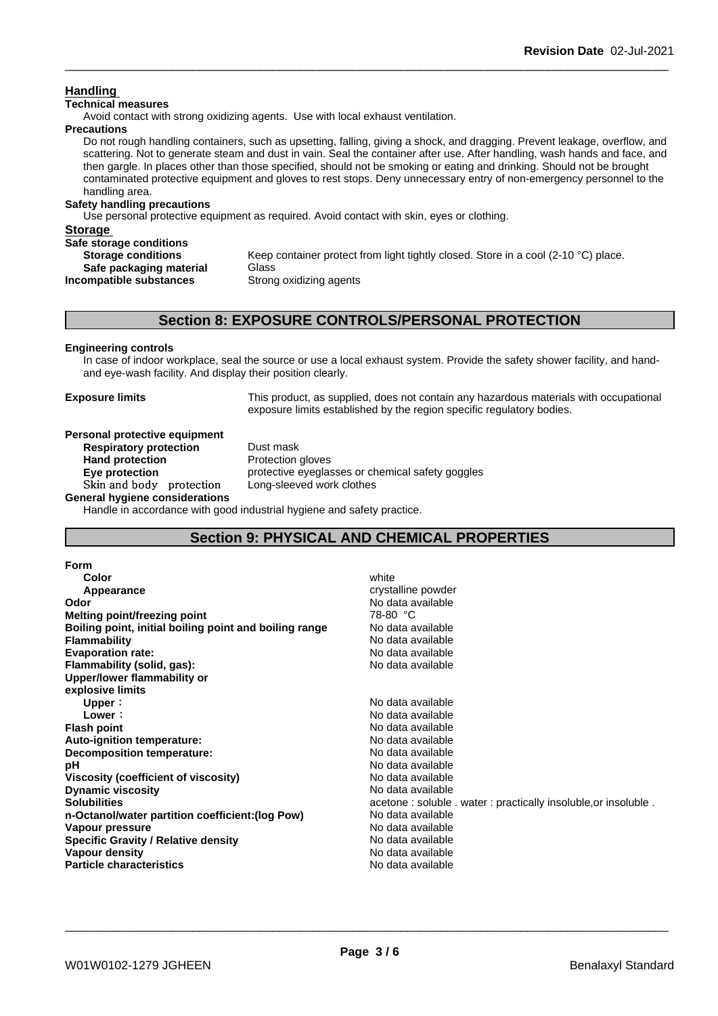### **Handling**

#### **Technical measures**

Avoid contact with strong oxidizing agents. Use with local exhaust ventilation.

#### **Precautions**

Do not rough handling containers, such as upsetting, falling, giving a shock, and dragging. Prevent leakage, overflow, and scattering. Not to generate steam and dust in vain. Seal the container after use. After handling, wash hands and face, and then gargle. In places other than those specified, should not be smoking or eating and drinking. Should not be brought contaminated protective equipment and gloves to rest stops. Deny unnecessary entry of non-emergency personnel to the handling area.

#### **Safety handling precautions**

Use personal protective equipment as required.Avoid contact with skin, eyes or clothing.

| <b>Storage</b>            |                                                                                    |
|---------------------------|------------------------------------------------------------------------------------|
| Safe storage conditions   |                                                                                    |
| <b>Storage conditions</b> | Keep container protect from light tightly closed. Store in a cool (2-10 °C) place. |
| Safe packaging material   | Glass                                                                              |
| Incompatible substances   | Strong oxidizing agents                                                            |
|                           |                                                                                    |

### **Section 8: EXPOSURE CONTROLS/PERSONAL PROTECTION**

### **Engineering controls**

In case of indoor workplace, seal the source or use a local exhaust system. Provide the safety shower facility, and handand eye-wash facility. And display their position clearly.

**Exposure limits** This product, as supplied, does not contain any hazardous materials with occupational exposure limits established by the region specific regulatory bodies.

#### **Personal protective equipment**<br>**Respiratory protection** Dust mask **Respiratory** protection

**Hand protection** Protection gloves **Eye protection Eye protective** eyeglasses or chemical safety goggles **Skinandbody protection** Long-sleeved work clothes

**General hygiene considerations**

Handle in accordance with good industrial hygiene and safety practice.

### **Section 9: PHYSICAL AND CHEMICAL PROPERTIES**

| <b>Form</b>                                            |                                                                |
|--------------------------------------------------------|----------------------------------------------------------------|
| Color                                                  | white                                                          |
| Appearance                                             | crystalline powder                                             |
| Odor                                                   | No data available                                              |
| Melting point/freezing point                           | 78-80 °C                                                       |
| Boiling point, initial boiling point and boiling range | No data available                                              |
| <b>Flammability</b>                                    | No data available                                              |
| <b>Evaporation rate:</b>                               | No data available                                              |
| Flammability (solid, gas):                             | No data available                                              |
| Upper/lower flammability or                            |                                                                |
| explosive limits                                       |                                                                |
| Upper:                                                 | No data available                                              |
| Lower:                                                 | No data available                                              |
| <b>Flash point</b>                                     | No data available                                              |
| Auto-ignition temperature:                             | No data available                                              |
| Decomposition temperature:                             | No data available                                              |
| рH                                                     | No data available                                              |
| Viscosity (coefficient of viscosity)                   | No data available                                              |
| <b>Dynamic viscosity</b>                               | No data available                                              |
| <b>Solubilities</b>                                    | acetone: soluble . water: practically insoluble, or insoluble. |
| n-Octanol/water partition coefficient: (log Pow)       | No data available                                              |
| Vapour pressure                                        | No data available                                              |
| <b>Specific Gravity / Relative density</b>             | No data available                                              |
| Vapour density                                         | No data available                                              |
| <b>Particle characteristics</b>                        | No data available                                              |
|                                                        |                                                                |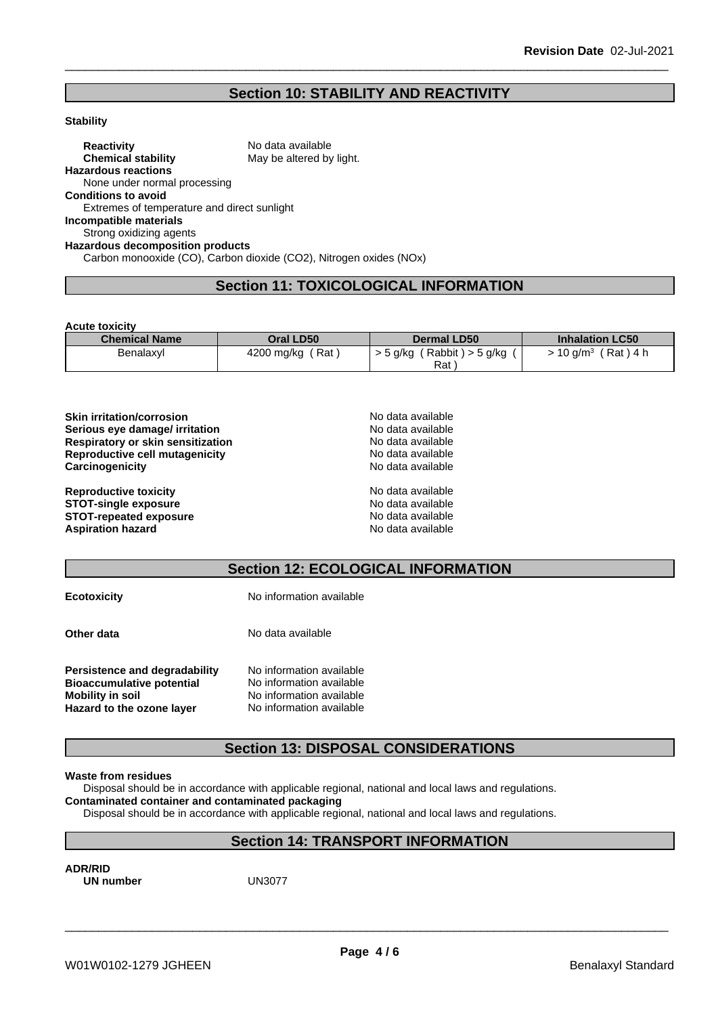### **Section 10: STABILITY AND REACTIVITY**

#### **Stability**

**Reactivity** No data available **Chemical stability** May be altered by light. **Hazardous reactions** None under normal processing **Conditions to avoid** Extremes of temperature and direct sunlight **Incompatible materials** Strong oxidizing agents **Hazardous decomposition products** Carbon monooxide (CO), Carbon dioxide (CO2), Nitrogen oxides (NOx)

### **Section 11: TOXICOLOGICAL INFORMATION**

**Acute toxicity**

| <b>Chemical Name</b> | Oral LD50                      | <b>Dermal LD50</b>                            | <b>Inhalation LC50</b>            |
|----------------------|--------------------------------|-----------------------------------------------|-----------------------------------|
| Benalaxyl            | Rat <sup>1</sup><br>4200 mg/kg | $'$ Rabbit ) > 5 g/kg<br>$>$ 5 g/kg $\degree$ | (Rat)4 h<br>$\cdot$ 10 a/m $^3$ . |
|                      |                                | Rat                                           |                                   |

| <b>Skin irritation/corrosion</b>  | No data available |  |
|-----------------------------------|-------------------|--|
| Serious eye damage/ irritation    | No data available |  |
| Respiratory or skin sensitization | No data available |  |
| Reproductive cell mutagenicity    | No data available |  |
| Carcinogenicity                   | No data available |  |
| <b>Reproductive toxicity</b>      | No data available |  |
| <b>STOT-single exposure</b>       | No data available |  |
| <b>STOT-repeated exposure</b>     | No data available |  |
| <b>Aspiration hazard</b>          | No data available |  |

### **Section 12: ECOLOGICAL INFORMATION**

| <b>Ecotoxicity</b> |
|--------------------|
|--------------------|

**Ecotoxicity** No information available

**Other data** No data available

| <b>Persistence and degradability</b> | No information available |  |
|--------------------------------------|--------------------------|--|
| <b>Bioaccumulative potential</b>     | No information available |  |
| <b>Mobility in soil</b>              | No information available |  |
| Hazard to the ozone layer            | No information available |  |

### **Section 13: DISPOSAL CONSIDERATIONS**

#### **Waste from residues**

Disposal should be in accordance with applicable regional, national and local laws and regulations.

**Contaminated container and contaminated packaging**

Disposal should be in accordance with applicable regional, national and local laws and regulations.

## **Section 14: TRANSPORT INFORMATION**

**ADR/RID UN number**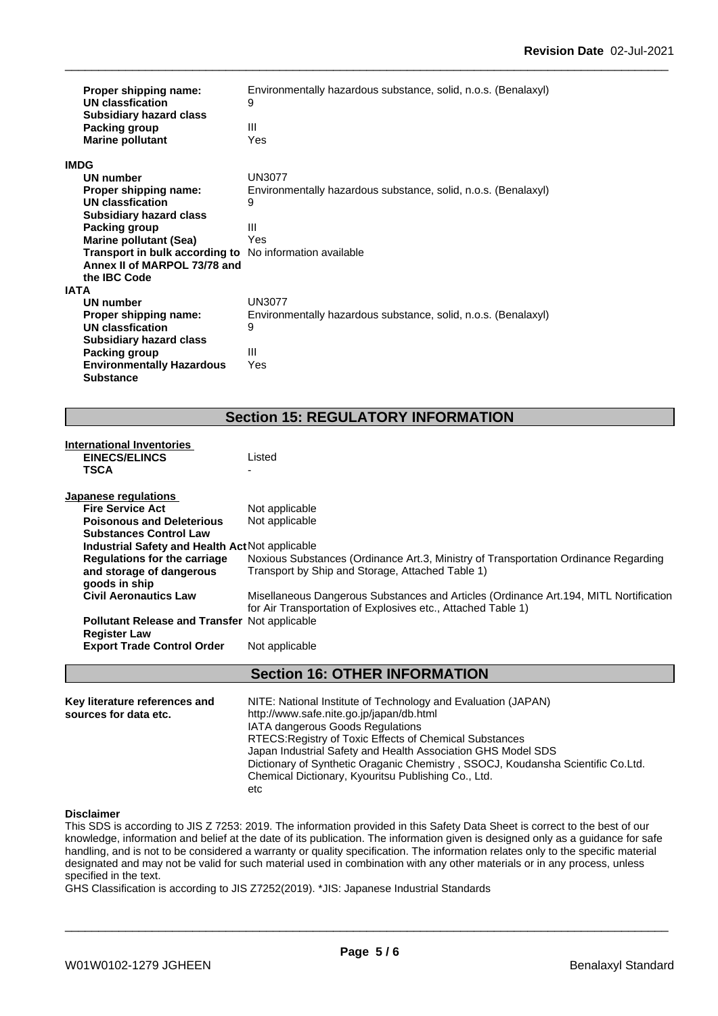| Proper shipping name:<br>UN classfication<br><b>Subsidiary hazard class</b> | Environmentally hazardous substance, solid, n.o.s. (Benalaxyl)<br>9 |
|-----------------------------------------------------------------------------|---------------------------------------------------------------------|
| Packing group                                                               | Ш                                                                   |
| <b>Marine pollutant</b>                                                     | Yes                                                                 |
| <b>IMDG</b>                                                                 |                                                                     |
| UN number                                                                   | <b>UN3077</b>                                                       |
| Proper shipping name:                                                       | Environmentally hazardous substance, solid, n.o.s. (Benalaxyl)      |
| <b>UN classfication</b>                                                     | 9                                                                   |
| <b>Subsidiary hazard class</b>                                              |                                                                     |
| Packing group                                                               | Ш                                                                   |
| <b>Marine pollutant (Sea)</b>                                               | Yes                                                                 |
| Transport in bulk according to                                              | No information available                                            |
| Annex II of MARPOL 73/78 and                                                |                                                                     |
| the IBC Code                                                                |                                                                     |
| <b>IATA</b>                                                                 |                                                                     |
| <b>UN number</b>                                                            | <b>UN3077</b>                                                       |
| Proper shipping name:                                                       | Environmentally hazardous substance, solid, n.o.s. (Benalaxyl)      |
| UN classfication                                                            | 9                                                                   |
| <b>Subsidiary hazard class</b>                                              |                                                                     |
| Packing group                                                               | Ш                                                                   |
| <b>Environmentally Hazardous</b>                                            | Yes                                                                 |
| <b>Substance</b>                                                            |                                                                     |

## **Section 15: REGULATORY INFORMATION**

| <b>International Inventories</b><br><b>EINECS/ELINCS</b><br><b>TSCA</b>     | Listed                                                                                                                                                 |
|-----------------------------------------------------------------------------|--------------------------------------------------------------------------------------------------------------------------------------------------------|
| Japanese regulations                                                        |                                                                                                                                                        |
| <b>Fire Service Act</b>                                                     | Not applicable                                                                                                                                         |
| <b>Poisonous and Deleterious</b>                                            | Not applicable                                                                                                                                         |
| <b>Substances Control Law</b>                                               |                                                                                                                                                        |
| Industrial Safety and Health Act Not applicable                             |                                                                                                                                                        |
| <b>Regulations for the carriage</b><br>and storage of dangerous             | Noxious Substances (Ordinance Art.3, Ministry of Transportation Ordinance Regarding<br>Transport by Ship and Storage, Attached Table 1)                |
| goods in ship                                                               |                                                                                                                                                        |
| <b>Civil Aeronautics Law</b>                                                | Misellaneous Dangerous Substances and Articles (Ordinance Art. 194, MITL Nortification<br>for Air Transportation of Explosives etc., Attached Table 1) |
| <b>Pollutant Release and Transfer Not applicable</b><br><b>Register Law</b> |                                                                                                                                                        |
| <b>Export Trade Control Order</b>                                           | Not applicable                                                                                                                                         |
|                                                                             | <b>Section 16: OTHER INFORMATION</b>                                                                                                                   |
| Key literature references and<br>sources for data etc.                      | NITE: National Institute of Technology and Evaluation (JAPAN)<br>http://www.safe.nite.go.jp/japan/db.html                                              |
|                                                                             | IATA dangerous Goods Regulations                                                                                                                       |
|                                                                             | RTECS: Registry of Toxic Effects of Chemical Substances                                                                                                |
|                                                                             | Japan Industrial Safety and Health Association GHS Model SDS<br>Dictionary of Synthetic Oraganic Chemistry, SSOCJ, Koudansha Scientific Co.Ltd.        |
|                                                                             | Chemical Dictionary, Kyouritsu Publishing Co., Ltd.                                                                                                    |

#### **Disclaimer**

This SDS is according to JIS Z 7253: 2019. The information provided in this Safety Data Sheet is correct to the best of our knowledge, information and belief at the date of its publication. The information given is designed only as a guidance for safe handling, and is not to be considered a warranty or quality specification. The information relates only to the specific material designated and may not be valid for such material used in combination with any other materials or in any process, unless specified in the text.

GHS Classification is according to JIS Z7252(2019). \*JIS: Japanese Industrial Standards

etc